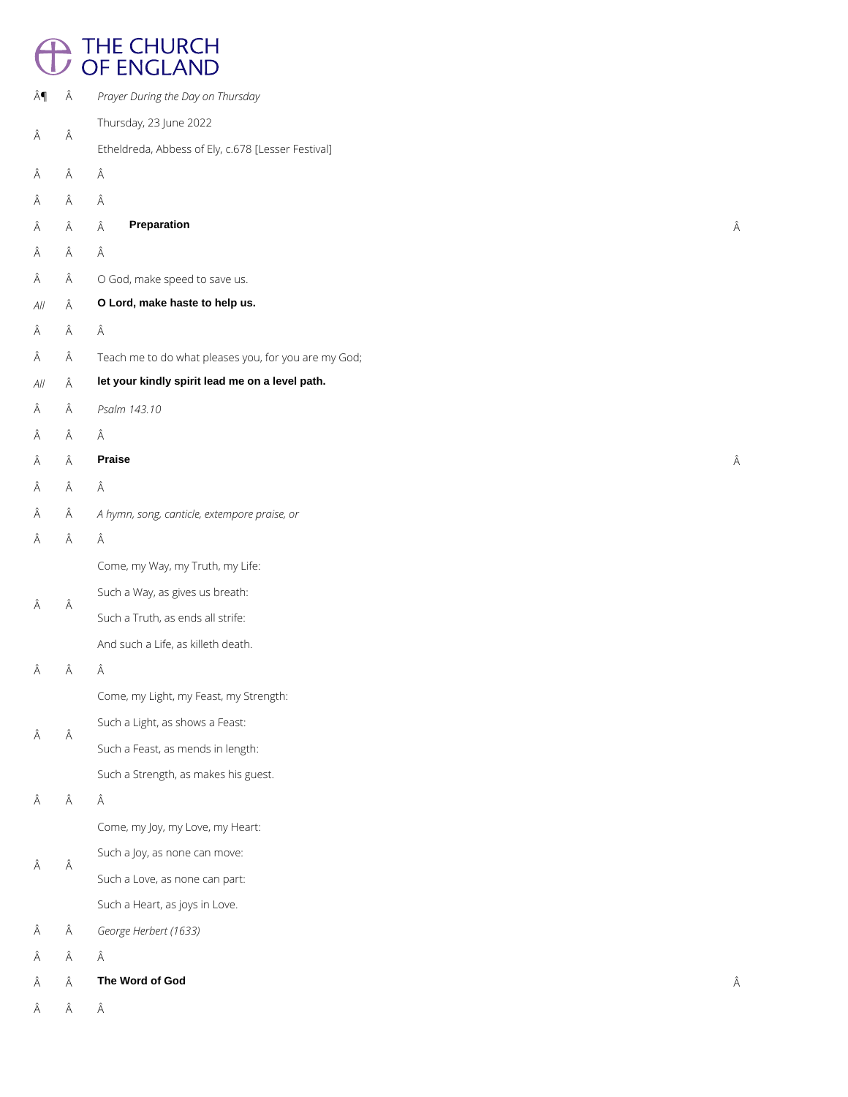# <sup>1</sup> THE CHURCH<br>
OF ENGLAND

| ¶                        | Â | Prayer During the Day on Thursday                    |   |
|--------------------------|---|------------------------------------------------------|---|
|                          |   | Thursday, 23 June 2022                               |   |
| Â                        | Â | Etheldreda, Abbess of Ely, c.678 [Lesser Festival]   |   |
| Â                        | Â | Â                                                    |   |
| Â                        | Â | Â                                                    |   |
| Â                        | Â | <b>Preparation</b><br>Â                              | Â |
| Â                        | Â | Â                                                    |   |
| Â                        | Â | O God, make speed to save us.                        |   |
| $\mathcal{A}\mathcal{H}$ | Â | O Lord, make haste to help us.                       |   |
| Â                        | Â | Â                                                    |   |
| Â                        | Â | Teach me to do what pleases you, for you are my God; |   |
| $\mathcal{A}\mathcal{H}$ | Â | let your kindly spirit lead me on a level path.      |   |
| Â                        | Â | Psalm 143.10                                         |   |
| Â                        | Â | Â                                                    |   |
| Â                        | Â | <b>Praise</b>                                        | Â |
| Â                        | Â | Â                                                    |   |
| Â                        | Â | A hymn, song, canticle, extempore praise, or         |   |
| Â                        | Â | Â                                                    |   |
|                          |   | Come, my Way, my Truth, my Life:                     |   |
|                          |   | Such a Way, as gives us breath:                      |   |
| Â                        | Â | Such a Truth, as ends all strife:                    |   |
|                          |   | And such a Life, as killeth death.                   |   |
| Â                        | Â | Â                                                    |   |
|                          |   | Come, my Light, my Feast, my Strength:               |   |
|                          | Â | Such a Light, as shows a Feast:                      |   |
| Â                        |   | Such a Feast, as mends in length:                    |   |
|                          |   | Such a Strength, as makes his guest.                 |   |
| Â                        | Â | Â                                                    |   |

Come, my Joy, my Love, my Heart:

Such a Joy, as none can move:

 $\hat{A}$   $\hat{A}$ 

Such a Love, as none can part:

Such a Heart, as joys in Love.

*George Herbert (1633)*

 $\hat{\mathsf{A}}\qquad \hat{\mathsf{A}}\qquad \hat{\mathsf{A}}$ 

**The Word of God**

 $\hat{\mathsf{A}}\qquad \hat{\mathsf{A}}\qquad \hat{\mathsf{A}}$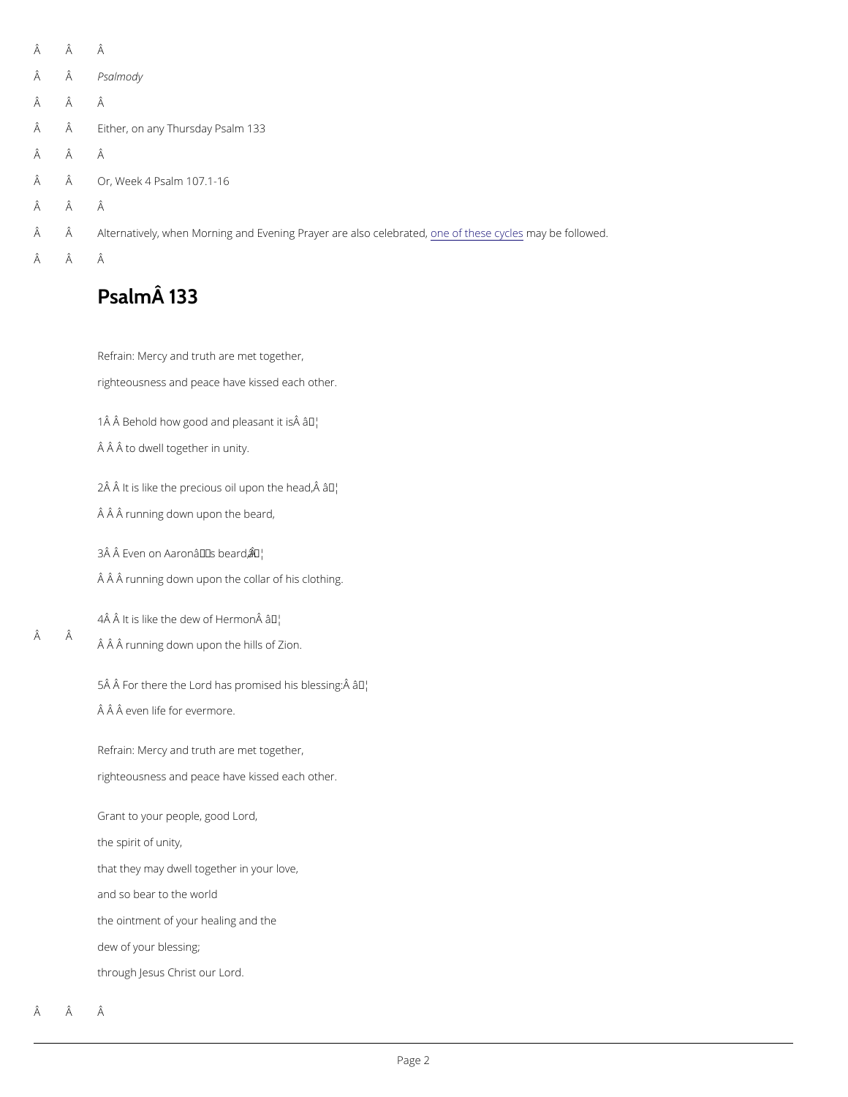Â Â Â Psalmody Â Â  $\hat{A}$   $\hat{A}$  Either, on any TPhsuarlsmodaly 33 Â Â  $\hat{A}$   $\hat{A}$  Or, Wee Rs 4a 1 m  $107.1 - 16$  Â Â  $\rm \hat{A}$  Alternatively, when Morning and Evening Proanyee rofatt**e** easles **congret lete of** rfaotleld wed. Â Â

## $P$ salm $\hat{A}$  133

RefraiMercy and truth are met together,

righteousness and peace have kissed each other.

1 $\hat{A}$   $\hat{A}$  Behold how good and  $\hat{a}$  TMe as ant it is  $\hat{A}$ 

Â Â to dwell together in unity.

 $2\hat{A}$   $\hat{A}$  It is like the precious oi $\hat{a}$  Meson the head,  $\hat{A}$ 

 $\hat{A}$   $\hat{A}$  funning down upon the beard,

 $3\hat{A}$   $\hat{A}$  Even on Aaron $\hat{a}$   $\infty$   $\mathbb{R}^{N}$  s beard,  $\hat{A}$ 

 $\hat{A}$   $\hat{A}$  funning down upon the collar of his clothing.

 Â  $4\hat{A}$   $\hat{A}$  It is like the dewâ $\delta$ <sup>w</sup>f Hermon  $\hat{A}$ Â Â running down upon the hills of Zion.

> $5\hat{A}$   $\hat{A}$  For there the Lord has promas by his blessing:  $\hat{A}$  $\hat{A}$   $\hat{A}$  even life for evermore.

RefraiMercy and truth are met together, righteousness and peace have kissed each other.

Grant to your people, good Lord,

the spirit of unity,

that they may dwell together in your love,

and so bear to the world

the ointment of your healing and the

dew of your blessing;

through Jesus Christ our Lord.

Â Â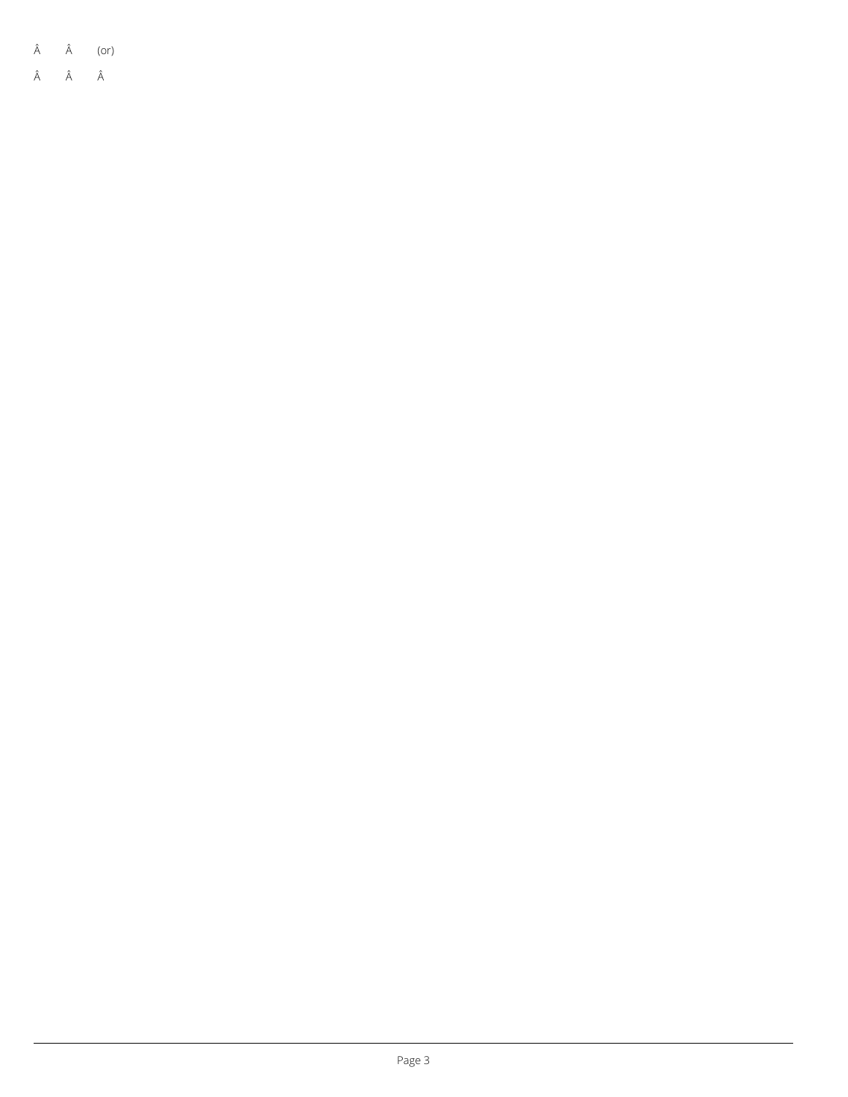| (or) |
|------|
|      |

 $\hat{A}$   $\hat{A}$   $\hat{A}$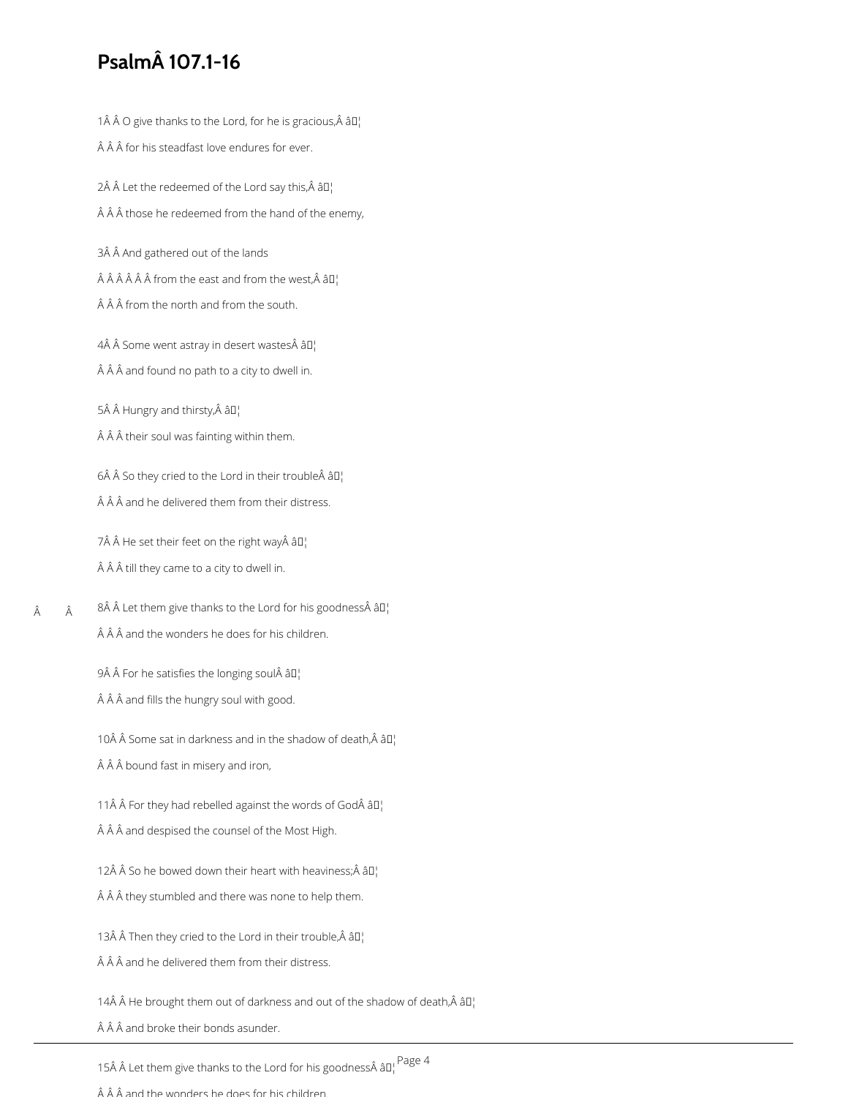## **Psalm 107.1-16**

1Â Â O give thanks to the Lord, for he is gracious, Â â $\mathbb{D}^1$ 

 $\hat{A}$   $\hat{A}$   $\hat{A}$  for his steadfast love endures for ever.

2Â Â Let the redeemed of the Lord say this, Â â $\mathbb{I}^1$  $\hat{A}$   $\hat{A}$   $\hat{A}$  those he redeemed from the hand of the enemy,

3Â Â And gathered out of the lands

 $\hat{A}$   $\hat{A}$   $\hat{A}$   $\hat{A}$   $\hat{A}$  from the east and from the west,  $\hat{A}$   $\hat{a}$   $\hat{a}$ 

 $\hat{A}$   $\hat{A}$   $\hat{A}$  from the north and from the south.

 $4\hat{A}$  Å Some went astray in desert wastes $\hat{A}$  â $\Box$ 

 $\hat{A}$   $\hat{A}$   $\hat{A}$  and found no path to a city to dwell in.

5Â Â Hungry and thirsty, Â â D¦

 $\hat{A}$   $\hat{A}$   $\hat{A}$  their soul was fainting within them.

 $6\hat{A}$  Å So they cried to the Lord in their trouble $\hat{A}$   $\hat{a}$   $\hat{a}$ 

 $\hat{A}$   $\hat{A}$   $\hat{A}$  and he delivered them from their distress.

7 He set their feet on the right way â $\mathbb{I}^1$  $\hat{A}$   $\hat{A}$   $\hat{A}$  till they came to a city to dwell in.

 Â 8 Let them give thanks to the Lord for his goodness  $a_{\parallel}$  $\hat{A}$   $\hat{A}$   $\hat{A}$  and the wonders he does for his children.

9 For he satisfies the longing soul  $\partial I_1$ 

 $\hat{A}$   $\hat{A}$   $\hat{A}$  and fills the hungry soul with good.

 $\hat{A}$   $\hat{A}$   $\hat{A}$  bound fast in misery and iron,

10 $\hat{A}$   $\hat{A}$  Some sat in darkness and in the shadow of death, $\hat{A}$   $\hat{a}$  $\Gamma$ <sub>1</sub>

 $\hat{A}$   $\hat{A}$   $\hat{A}$  and despised the counsel of the Most High.

12Â Â So he bowed down their heart with heaviness; Â â $\mathbb{I}^1$ 

11ŠŠFor they had rebelled against the words of God âll

 $\hat{A}$   $\hat{A}$   $\hat{A}$  they stumbled and there was none to help them.

13Å  $\hat{A}$  Then they cried to the Lord in their trouble, $\hat{A}$   $\hat{a}$ D'

 $\hat{A}$   $\hat{A}$   $\hat{A}$  and he delivered them from their distress.

14 $\hat{A}$   $\hat{A}$  He brought them out of darkness and out of the shadow of death, $\hat{A}$   $\hat{a}$  $\Gamma$ 

 $\hat{A}$   $\hat{A}$   $\hat{A}$  and broke their bonds asunder.

15A A Let them give thanks to the Lord for his goodnessA  $a_{\parallel}$ Page 4

 $\hat{A}$   $\hat{A}$  and the wonders he does for his children.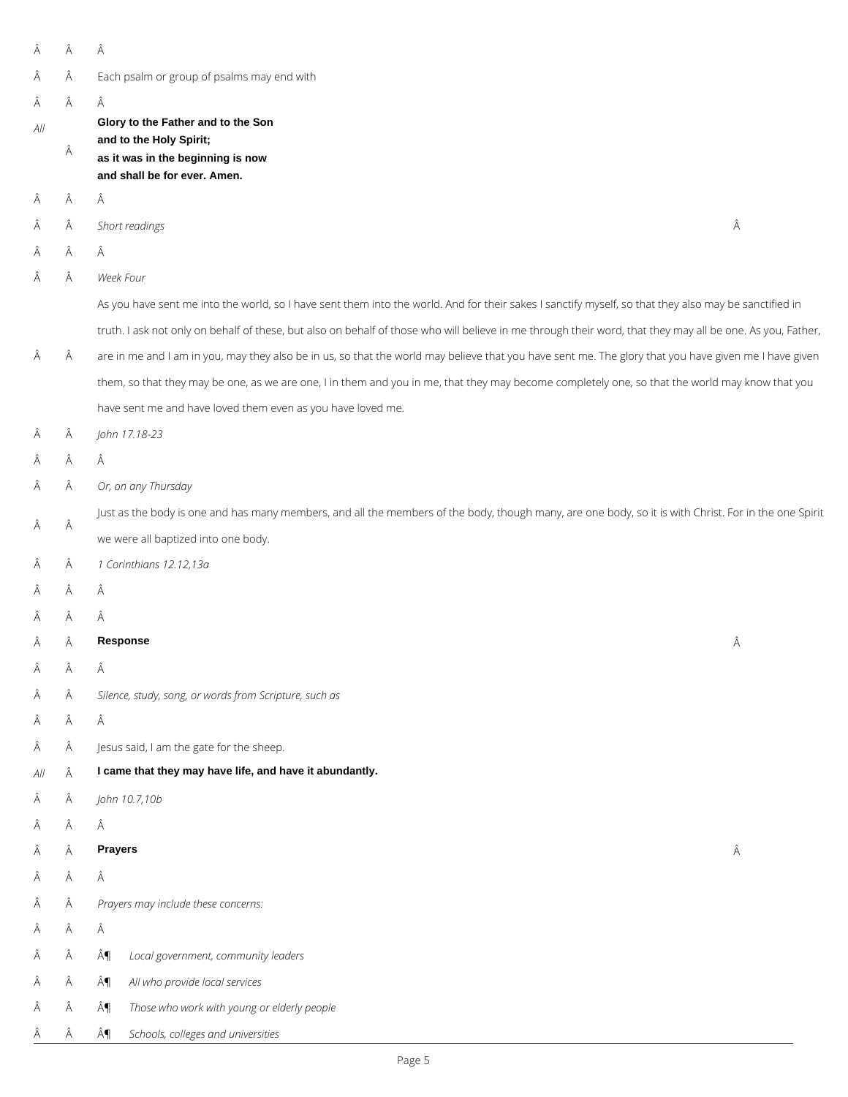| Â   | Â | Â                                                                                                                                                          |
|-----|---|------------------------------------------------------------------------------------------------------------------------------------------------------------|
| Â   | Â | Each psalm or group of psalms may end with                                                                                                                 |
| Â   | Â | Â                                                                                                                                                          |
| AlI | Â | Glory to the Father and to the Son<br>and to the Holy Spirit;<br>as it was in the beginning is now<br>and shall be for ever. Amen.                         |
| Â   | Â | Â                                                                                                                                                          |
| Â   | Â | Â<br>Short readings                                                                                                                                        |
| Â   | Â | Â                                                                                                                                                          |
| Â   | Â | Week Four                                                                                                                                                  |
|     |   | As you have sent me into the world, so I have sent them into the world. And for their sakes I sanctify myself, so that they also may be sanctified in      |
|     |   | truth. I ask not only on behalf of these, but also on behalf of those who will believe in me through their word, that they may all be one. As you, Father, |
| Â   | Â | are in me and I am in you, may they also be in us, so that the world may believe that you have sent me. The glory that you have given me I have given      |
|     |   | them, so that they may be one, as we are one, I in them and you in me, that they may become completely one, so that the world may know that you            |
|     |   | have sent me and have loved them even as you have loved me.                                                                                                |
| Â   | Â | John 17.18-23                                                                                                                                              |
| Â   | Â | Â                                                                                                                                                          |
| Â   | Â | Or, on any Thursday                                                                                                                                        |
| Â   | Â | Just as the body is one and has many members, and all the members of the body, though many, are one body, so it is with Christ. For in the one Spirit      |
|     |   | we were all baptized into one body.                                                                                                                        |
| Â   | Â | 1 Corinthians 12.12,13a                                                                                                                                    |
| Â   | Â | Â                                                                                                                                                          |
| Â   | Â | Â                                                                                                                                                          |
| Â   | Â | Â<br><b>Response</b>                                                                                                                                       |
| Â   | Â | Â                                                                                                                                                          |
| Â   | Â | Silence, study, song, or words from Scripture, such as                                                                                                     |
| Ä   | Â | Â                                                                                                                                                          |
| Â   | Â | Jesus said, I am the gate for the sheep.                                                                                                                   |
| All | Â | I came that they may have life, and have it abundantly.                                                                                                    |
| A   | Â | John 10.7,10b                                                                                                                                              |

 $\hat{\mathsf{A}}\qquad \hat{\mathsf{A}}\qquad \hat{\mathsf{A}}$ 

#### **Prayers**

 $\hat{\mathsf{A}}\qquad \hat{\mathsf{A}}\qquad \hat{\mathsf{A}}$ 

*Prayers may include these concerns:*

 $\hat{\mathsf{A}}\qquad \hat{\mathsf{A}}\qquad \hat{\mathsf{A}}$ 

- ¶ *Local government, community leaders*
- ¶ *All who provide local services*
- ¶ *Those who work with young or elderly people*

¶ *Schools, colleges and universities*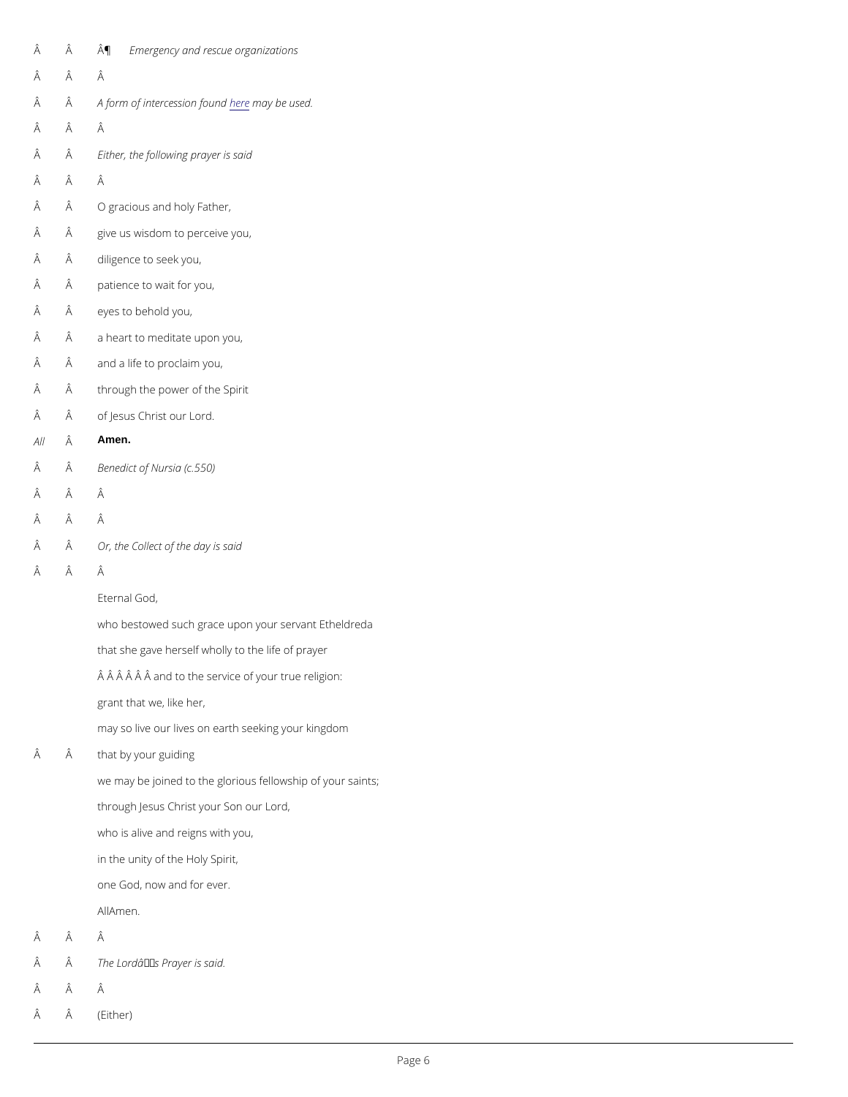| Â | Â | ¶ Emergency and rescue organizations                        |
|---|---|-------------------------------------------------------------|
| Â | Â | Â                                                           |
| Â | Â | A form of interce sinumary obedused.                        |
| Â | Â | Â                                                           |
| Â | Â | Either, the following prayer is said                        |
| Â | Â | Â                                                           |
| Â | Â | O gracious and holy Father,                                 |
| Â | Â | give us wisdom to perceive you,                             |
| Â | Â | diligence to seek you,                                      |
| Â | Â | patience to wait for you,                                   |
| Â | Â | eyes to behold you,                                         |
| Â | Â | a heart to meditate upon you,                               |
| Â | Â | and a life to proclaim you,                                 |
| Â | Â | through the power of the Spirit                             |
| Â | Â | of Jesus Christ our Lord.                                   |
|   |   | All $\hat{A}$ Amen.                                         |
| Â | Â | Benedict of Nursia (c.550)                                  |
| Â | Â | Â                                                           |
| Â | Â | Â                                                           |
| Â | Â | Or, the Collect of the day is said                          |
| Â | Â | Â                                                           |
|   |   | Eternal God,                                                |
|   |   | who bestowed such grace upon your servant Etheldreda        |
|   |   | that she gave herself wholly to the life of prayer          |
|   |   | and to the service of your true religion:                   |
|   |   | grant that we, like her,                                    |
|   |   | may so live our lives on earth seeking your kingdom         |
| Â | Â | that by your guiding                                        |
|   |   | we may be joined to the glorious fellowship of your saints; |
|   |   |                                                             |

- $\hat{A}$   $\hat{A}$  The Lord  $\hat{a} \in \mathbb{T}^M$  s Prayer is said.
- Â Â
- (Either)

through Jesus Christ your Son our Lord,

who is alive and reigns with you,

in the unity of the Holy Spirit,

one God, now and for ever.

A  $M$  m e n .

Â Â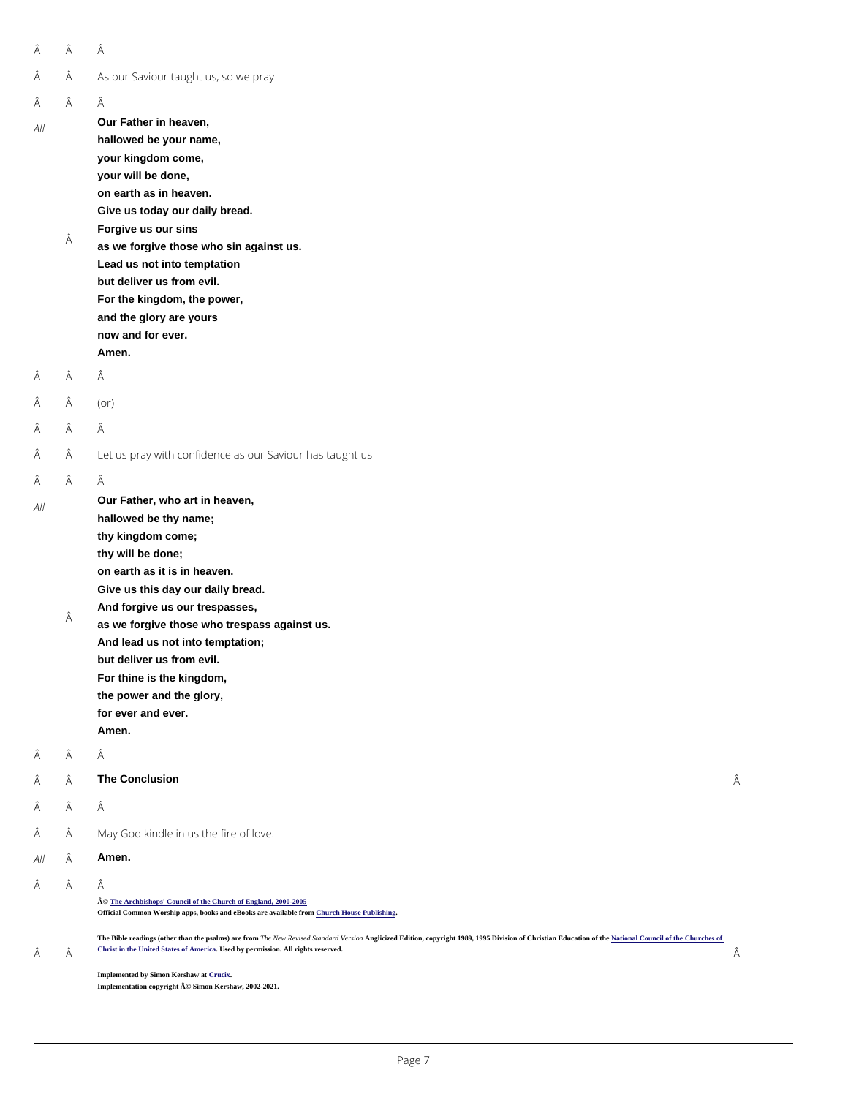| Â                   | Â      | Â                                                                                                                                                                                                                                                                                                                                                                                                             |   |
|---------------------|--------|---------------------------------------------------------------------------------------------------------------------------------------------------------------------------------------------------------------------------------------------------------------------------------------------------------------------------------------------------------------------------------------------------------------|---|
| Â                   | Â      | As our Saviour taught us, so we pray                                                                                                                                                                                                                                                                                                                                                                          |   |
| Â<br>$A$            | Â<br>Â | Â<br>Our Father in heaven,<br>hallowed be your name,<br>your kingdom come,<br>your will be done,<br>on earth as in heaven.<br>Give us today our daily bread.<br>Forgive us our sins<br>as we forgive those who sin against us.<br>Lead us not into temptation<br>but deliver us from evil.<br>For the kingdom, the power,<br>and the glory are yours<br>now and for ever.<br>Amen.                            |   |
| Â                   | Â      | Â                                                                                                                                                                                                                                                                                                                                                                                                             |   |
| Â                   | Â      | $($ or $)$                                                                                                                                                                                                                                                                                                                                                                                                    |   |
| Â                   | Â      | Â                                                                                                                                                                                                                                                                                                                                                                                                             |   |
| Â                   | Â      | Let us pray with confidence as our Saviour has taught us                                                                                                                                                                                                                                                                                                                                                      |   |
| Â<br>A <sub>1</sub> | Â<br>Â | Â<br>Our Father, who art in heaven,<br>hallowed be thy name;<br>thy kingdom come;<br>thy will be done;<br>on earth as it is in heaven.<br>Give us this day our daily bread.<br>And forgive us our trespasses,<br>as we forgive those who trespass against us.<br>And lead us not into temptation;<br>but deliver us from evil.<br>For thine is the kingdom,<br>the power and the glory,<br>for ever and ever. |   |
|                     |        | Amen.                                                                                                                                                                                                                                                                                                                                                                                                         |   |
| Â                   | Â<br>Â | Â<br>The Conclusion                                                                                                                                                                                                                                                                                                                                                                                           | Â |

Â Â

Â

#### $\hat{A}$   $\hat{A}$  May God kindle in us the fire of love.

All  $\hat{A}$  Amen.

Â Â

Â

© [The Archbishops' Council of the Church of England, 2000-200](https://www.churchofengland.org/prayer-worship/join-us-in-daily-prayer/copyright.aspx)5 Official Common Worship apps, books and eBooks are available from Church House Publishing

The Bible readings (other than the psalms) are from The New Revised Standard Version Christion, copyright 1989, 1995 Division of Christian Education of th[e National Council of the Churches of](https://nrsvbibles.org/) [Christ in the United States of America](https://nrsvbibles.org/) Used by permission. All rights reserved.

Implemented by Simon Kershaw a[t Crucix](http://www.crucix.com/). Implementation copyright © Simon Kershaw, 2002-2021.